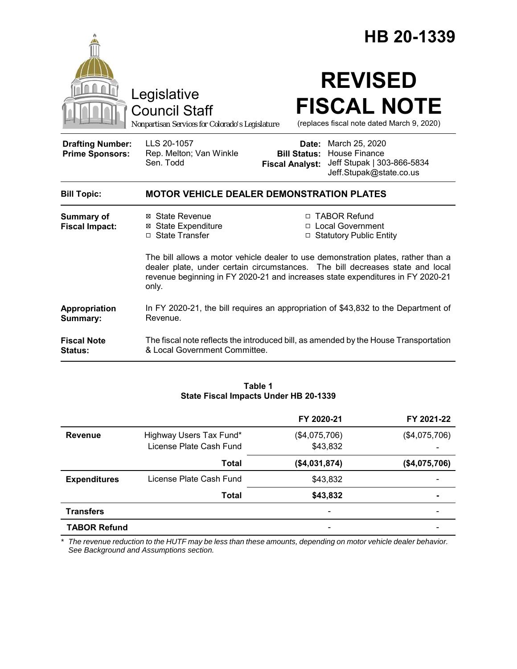|                                                   |                                                                                                                                                                                                                                                               |                                                                                                                                    | HB 20-1339 |  |
|---------------------------------------------------|---------------------------------------------------------------------------------------------------------------------------------------------------------------------------------------------------------------------------------------------------------------|------------------------------------------------------------------------------------------------------------------------------------|------------|--|
|                                                   | Legislative<br><b>Council Staff</b><br>Nonpartisan Services for Colorado's Legislature                                                                                                                                                                        | <b>REVISED</b><br><b>FISCAL NOTE</b><br>(replaces fiscal note dated March 9, 2020)                                                 |            |  |
| <b>Drafting Number:</b><br><b>Prime Sponsors:</b> | LLS 20-1057<br>Rep. Melton; Van Winkle<br>Sen. Todd                                                                                                                                                                                                           | Date: March 25, 2020<br><b>Bill Status: House Finance</b><br>Fiscal Analyst: Jeff Stupak   303-866-5834<br>Jeff.Stupak@state.co.us |            |  |
| <b>Bill Topic:</b>                                | <b>MOTOR VEHICLE DEALER DEMONSTRATION PLATES</b>                                                                                                                                                                                                              |                                                                                                                                    |            |  |
| <b>Summary of</b><br><b>Fiscal Impact:</b>        | ⊠ State Revenue<br><b>⊠</b> State Expenditure<br>□ State Transfer                                                                                                                                                                                             | □ TABOR Refund<br>□ Local Government<br>□ Statutory Public Entity                                                                  |            |  |
|                                                   | The bill allows a motor vehicle dealer to use demonstration plates, rather than a<br>dealer plate, under certain circumstances. The bill decreases state and local<br>revenue beginning in FY 2020-21 and increases state expenditures in FY 2020-21<br>only. |                                                                                                                                    |            |  |
| Appropriation<br>Summary:                         | In FY 2020-21, the bill requires an appropriation of \$43,832 to the Department of<br>Revenue.                                                                                                                                                                |                                                                                                                                    |            |  |
| <b>Fiscal Note</b><br>Status:                     | & Local Government Committee.                                                                                                                                                                                                                                 | The fiscal note reflects the introduced bill, as amended by the House Transportation                                               |            |  |

| Table 1                               |  |  |  |  |  |
|---------------------------------------|--|--|--|--|--|
| State Fiscal Impacts Under HB 20-1339 |  |  |  |  |  |

|                     |                         | FY 2020-21    | FY 2021-22    |
|---------------------|-------------------------|---------------|---------------|
| Revenue             | Highway Users Tax Fund* | (\$4,075,706) | (\$4,075,706) |
|                     | License Plate Cash Fund | \$43,832      |               |
|                     | Total                   | (\$4,031,874) | (\$4,075,706) |
| <b>Expenditures</b> | License Plate Cash Fund | \$43,832      |               |
|                     | Total                   | \$43,832      |               |
| <b>Transfers</b>    |                         |               |               |
| <b>TABOR Refund</b> |                         |               |               |

*\* The revenue reduction to the HUTF may be less than these amounts, depending on motor vehicle dealer behavior. See Background and Assumptions section.*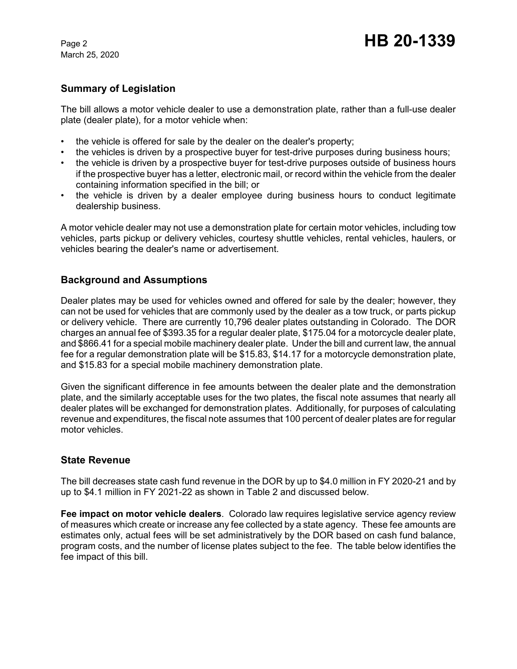March 25, 2020

# **Summary of Legislation**

The bill allows a motor vehicle dealer to use a demonstration plate, rather than a full-use dealer plate (dealer plate), for a motor vehicle when:

- the vehicle is offered for sale by the dealer on the dealer's property;
- the vehicles is driven by a prospective buyer for test-drive purposes during business hours;
- the vehicle is driven by a prospective buyer for test-drive purposes outside of business hours if the prospective buyer has a letter, electronic mail, or record within the vehicle from the dealer containing information specified in the bill; or
- the vehicle is driven by a dealer employee during business hours to conduct legitimate dealership business.

A motor vehicle dealer may not use a demonstration plate for certain motor vehicles, including tow vehicles, parts pickup or delivery vehicles, courtesy shuttle vehicles, rental vehicles, haulers, or vehicles bearing the dealer's name or advertisement.

## **Background and Assumptions**

Dealer plates may be used for vehicles owned and offered for sale by the dealer; however, they can not be used for vehicles that are commonly used by the dealer as a tow truck, or parts pickup or delivery vehicle. There are currently 10,796 dealer plates outstanding in Colorado. The DOR charges an annual fee of \$393.35 for a regular dealer plate, \$175.04 for a motorcycle dealer plate, and \$866.41 for a special mobile machinery dealer plate. Under the bill and current law, the annual fee for a regular demonstration plate will be \$15.83, \$14.17 for a motorcycle demonstration plate, and \$15.83 for a special mobile machinery demonstration plate.

Given the significant difference in fee amounts between the dealer plate and the demonstration plate, and the similarly acceptable uses for the two plates, the fiscal note assumes that nearly all dealer plates will be exchanged for demonstration plates. Additionally, for purposes of calculating revenue and expenditures, the fiscal note assumes that 100 percent of dealer plates are for regular motor vehicles.

## **State Revenue**

The bill decreases state cash fund revenue in the DOR by up to \$4.0 million in FY 2020-21 and by up to \$4.1 million in FY 2021-22 as shown in Table 2 and discussed below.

**Fee impact on motor vehicle dealers**. Colorado law requires legislative service agency review of measures which create or increase any fee collected by a state agency. These fee amounts are estimates only, actual fees will be set administratively by the DOR based on cash fund balance, program costs, and the number of license plates subject to the fee. The table below identifies the fee impact of this bill.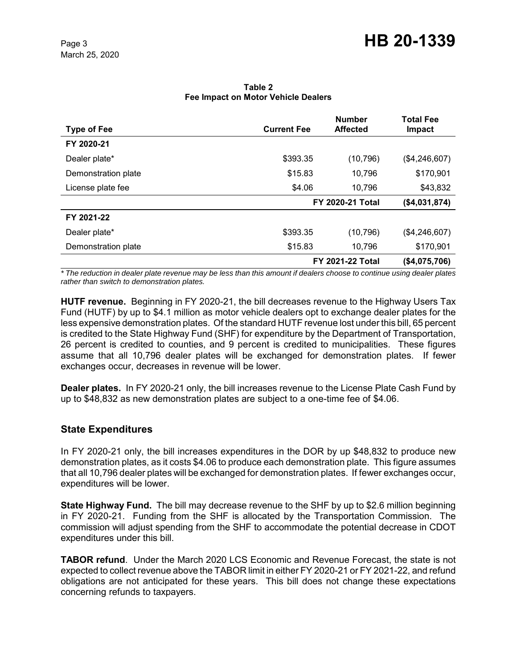| <b>Type of Fee</b>  | <b>Current Fee</b> | <b>Number</b><br><b>Affected</b> | <b>Total Fee</b><br>Impact |
|---------------------|--------------------|----------------------------------|----------------------------|
| FY 2020-21          |                    |                                  |                            |
| Dealer plate*       | \$393.35           | (10, 796)                        | (\$4,246,607)              |
| Demonstration plate | \$15.83            | 10,796                           | \$170,901                  |
| License plate fee   | \$4.06             | 10,796                           | \$43,832                   |
|                     |                    | FY 2020-21 Total                 | (\$4,031,874)              |
| FY 2021-22          |                    |                                  |                            |
| Dealer plate*       | \$393.35           | (10, 796)                        | (\$4,246,607)              |
| Demonstration plate | \$15.83            | 10,796                           | \$170,901                  |
|                     |                    | <b>FY 2021-22 Total</b>          |                            |

#### **Table 2 Fee Impact on Motor Vehicle Dealers**

*\* The reduction in dealer plate revenue may be less than this amount if dealers choose to continue using dealer plates rather than switch to demonstration plates.*

**HUTF revenue.** Beginning in FY 2020-21, the bill decreases revenue to the Highway Users Tax Fund (HUTF) by up to \$4.1 million as motor vehicle dealers opt to exchange dealer plates for the less expensive demonstration plates. Of the standard HUTF revenue lost under this bill, 65 percent is credited to the State Highway Fund (SHF) for expenditure by the Department of Transportation, 26 percent is credited to counties, and 9 percent is credited to municipalities. These figures assume that all 10,796 dealer plates will be exchanged for demonstration plates. If fewer exchanges occur, decreases in revenue will be lower.

**Dealer plates.** In FY 2020-21 only, the bill increases revenue to the License Plate Cash Fund by up to \$48,832 as new demonstration plates are subject to a one-time fee of \$4.06.

# **State Expenditures**

In FY 2020-21 only, the bill increases expenditures in the DOR by up \$48,832 to produce new demonstration plates, as it costs \$4.06 to produce each demonstration plate. This figure assumes that all 10,796 dealer plates will be exchanged for demonstration plates. If fewer exchanges occur, expenditures will be lower.

**State Highway Fund.** The bill may decrease revenue to the SHF by up to \$2.6 million beginning in FY 2020-21. Funding from the SHF is allocated by the Transportation Commission. The commission will adjust spending from the SHF to accommodate the potential decrease in CDOT expenditures under this bill.

**TABOR refund**. Under the March 2020 LCS Economic and Revenue Forecast, the state is not expected to collect revenue above the TABOR limit in either FY 2020-21 or FY 2021-22, and refund obligations are not anticipated for these years. This bill does not change these expectations concerning refunds to taxpayers.